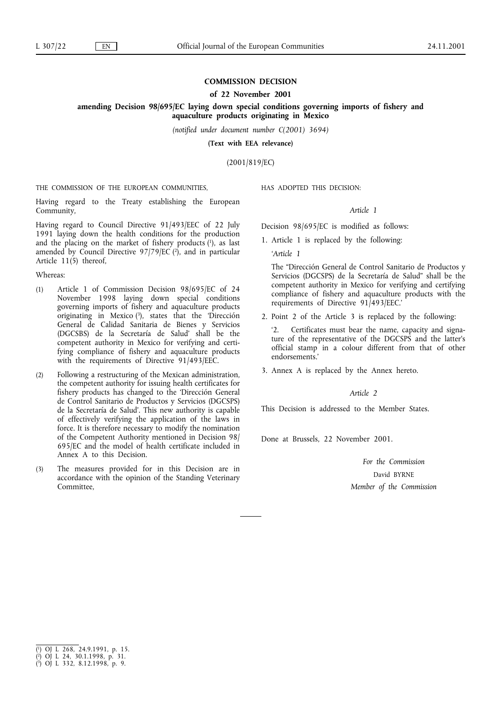# **COMMISSION DECISION**

### **of 22 November 2001**

# **amending Decision 98/695/EC laying down special conditions governing imports of fishery and aquaculture products originating in Mexico**

*(notified under document number C(2001) 3694)*

**(Text with EEA relevance)**

(2001/819/EC)

THE COMMISSION OF THE EUROPEAN COMMUNITIES,

Having regard to the Treaty establishing the European Community,

Having regard to Council Directive 91/493/EEC of 22 July 1991 laying down the health conditions for the production and the placing on the market of fishery products  $(1)$ , as last amended by Council Directive  $97/79/EC$  (2), and in particular Article 11(5) thereof,

### Whereas:

- (1) Article 1 of Commission Decision 98/695/EC of 24 November 1998 laying down special conditions governing imports of fishery and aquaculture products originating in Mexico  $(3)$ , states that the 'Dirección General de Calidad Sanitaria de Bienes y Servicios (DGCSBS) de la Secretaría de Salud' shall be the competent authority in Mexico for verifying and certifying compliance of fishery and aquaculture products with the requirements of Directive 91/493/EEC.
- (2) Following a restructuring of the Mexican administration, the competent authority for issuing health certificates for fishery products has changed to the 'Dirección General de Control Sanitario de Productos y Servicios (DGCSPS) de la Secretaría de Salud'. This new authority is capable of effectively verifying the application of the laws in force. It is therefore necessary to modify the nomination of the Competent Authority mentioned in Decision 98/ 695/EC and the model of health certificate included in Annex A to this Decision.
- (3) The measures provided for in this Decision are in accordance with the opinion of the Standing Veterinary Committee,

HAS ADOPTED THIS DECISION:

## *Article 1*

Decision 98/695/EC is modified as follows:

1. Article 1 is replaced by the following:

*'Article 1*

The "Dirección General de Control Sanitario de Productos y Servicios (DGCSPS) de la Secretaría de Salud" shall be the competent authority in Mexico for verifying and certifying compliance of fishery and aquaculture products with the requirements of Directive 91/493/EEC.'

2. Point 2 of the Article 3 is replaced by the following:

'2. Certificates must bear the name, capacity and signature of the representative of the DGCSPS and the latter's official stamp in a colour different from that of other endorsements.'

3. Annex A is replaced by the Annex hereto.

### *Article 2*

This Decision is addressed to the Member States.

Done at Brussels, 22 November 2001.

*For the Commission* David BYRNE *Member of the Commission*

<sup>(</sup> 1) OJ L 268, 24.9.1991, p. 15.

<sup>(</sup> 2) OJ L 24, 30.1.1998, p. 31.

<sup>(</sup> 3) OJ L 332, 8.12.1998, p. 9.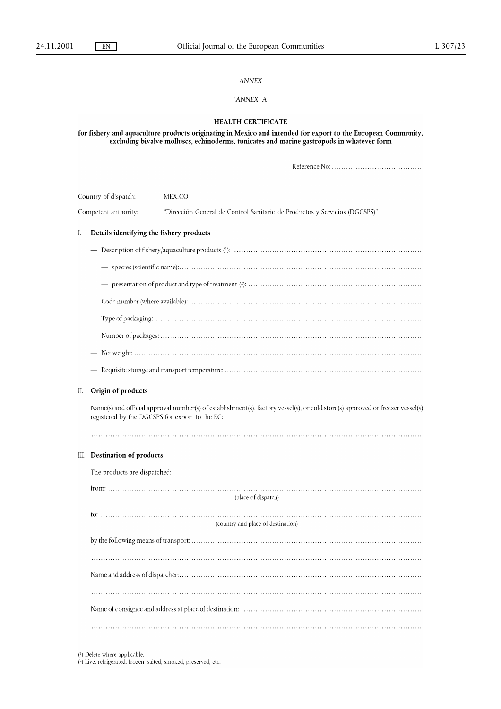## *ANNEX*

# *'ANNEX* A

## **HEALTH CERTIFICATE**

for fishery and aquaculture products originating in Mexico and intended for export to the European Community,<br>excluding bivalve molluscs, echinoderms, tunicates and marine gastropods in whatever form

| Country of dispatch:<br>Competent authority: |                                                                                                                                                                                  | <b>MEXICO</b>                                                              |  |
|----------------------------------------------|----------------------------------------------------------------------------------------------------------------------------------------------------------------------------------|----------------------------------------------------------------------------|--|
|                                              |                                                                                                                                                                                  | "Dirección General de Control Sanitario de Productos y Servicios (DGCSPS)" |  |
| I.                                           | Details identifying the fishery products                                                                                                                                         |                                                                            |  |
|                                              |                                                                                                                                                                                  |                                                                            |  |
|                                              |                                                                                                                                                                                  |                                                                            |  |
|                                              |                                                                                                                                                                                  |                                                                            |  |
|                                              |                                                                                                                                                                                  |                                                                            |  |
|                                              |                                                                                                                                                                                  |                                                                            |  |
|                                              |                                                                                                                                                                                  |                                                                            |  |
|                                              |                                                                                                                                                                                  |                                                                            |  |
|                                              |                                                                                                                                                                                  |                                                                            |  |
| П.                                           | Origin of products                                                                                                                                                               |                                                                            |  |
|                                              | Name(s) and official approval number(s) of establishment(s), factory vessel(s), or cold store(s) approved or freezer vessel(s)<br>registered by the DGCSPS for export to the EC: |                                                                            |  |
|                                              | III. Destination of products                                                                                                                                                     |                                                                            |  |
|                                              | The products are dispatched:                                                                                                                                                     |                                                                            |  |
|                                              |                                                                                                                                                                                  | (place of dispatch)                                                        |  |
|                                              |                                                                                                                                                                                  | (country and place of destination)                                         |  |
|                                              |                                                                                                                                                                                  |                                                                            |  |
|                                              |                                                                                                                                                                                  |                                                                            |  |
|                                              |                                                                                                                                                                                  |                                                                            |  |
|                                              |                                                                                                                                                                                  |                                                                            |  |
|                                              |                                                                                                                                                                                  |                                                                            |  |

 $\binom{l}{l}$  Delete where applicable.<br> $\binom{l}{l}$  Live, refrigerated, frozen, salted, smoked, preserved, etc.